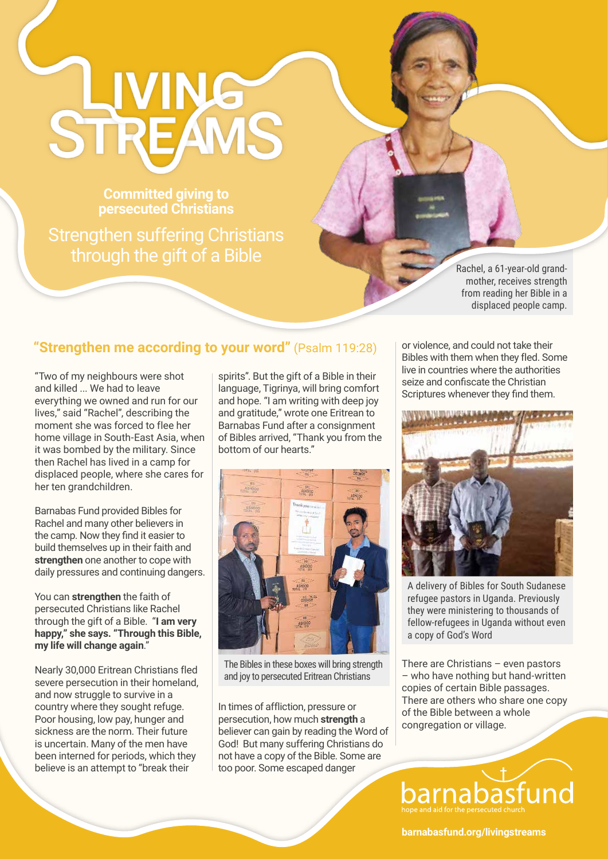## STREAMS

**Committed giving to persecuted Christians** 

Strengthen suffering Christians through the gift of a Bible

Rachel, a 61-year-old grandmother, receives strength from reading her Bible in a displaced people camp.

## **"Strengthen me according to your word"** (Psalm 119:28)

"Two of my neighbours were shot and killed ... We had to leave everything we owned and run for our lives," said "Rachel", describing the moment she was forced to flee her home village in South-East Asia, when it was bombed by the military. Since then Rachel has lived in a camp for displaced people, where she cares for her ten grandchildren.

Barnabas Fund provided Bibles for Rachel and many other believers in the camp. Now they find it easier to build themselves up in their faith and **strengthen** one another to cope with daily pressures and continuing dangers.

You can **strengthen** the faith of persecuted Christians like Rachel through the gift of a Bible. "**I am very happy," she says. "Through this Bible, my life will change again**."

Nearly 30,000 Eritrean Christians fled severe persecution in their homeland, and now struggle to survive in a country where they sought refuge. Poor housing, low pay, hunger and sickness are the norm. Their future is uncertain. Many of the men have been interned for periods, which they believe is an attempt to "break their

spirits". But the gift of a Bible in their language, Tigrinya, will bring comfort and hope. "I am writing with deep joy and gratitude," wrote one Eritrean to Barnabas Fund after a consignment of Bibles arrived, "Thank you from the bottom of our hearts."



The Bibles in these boxes will bring strength and joy to persecuted Eritrean Christians

In times of affliction, pressure or persecution, how much **strength** a believer can gain by reading the Word of God! But many suffering Christians do not have a copy of the Bible. Some are too poor. Some escaped danger

or violence, and could not take their Bibles with them when they fled. Some live in countries where the authorities seize and confiscate the Christian Scriptures whenever they find them.



A delivery of Bibles for South Sudanese refugee pastors in Uganda. Previously they were ministering to thousands of fellow-refugees in Uganda without even a copy of God's Word

There are Christians – even pastors – who have nothing but hand-written copies of certain Bible passages. There are others who share one copy of the Bible between a whole congregation or village.

**barnabasfund.org/livingstreams**

barnab